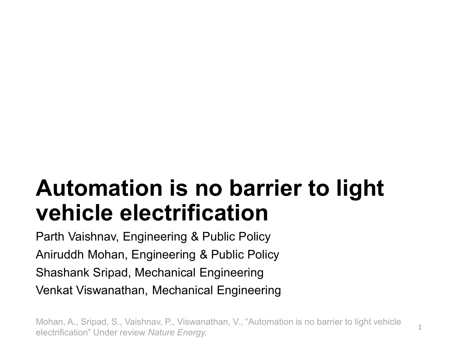# **Automation is no barrier to light vehicle electrification**

Parth Vaishnav, Engineering & Public Policy Aniruddh Mohan, Engineering & Public Policy Shashank Sripad, Mechanical Engineering Venkat Viswanathan, Mechanical Engineering

Mohan, A., Sripad, S., Vaishnav, P., Viswanathan, V., "Automation is no barrier to light vehicle electrification" Under review *Nature Energy.*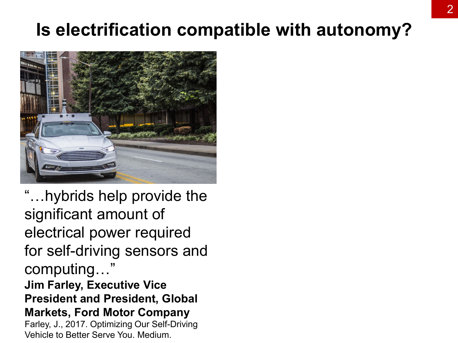## **Is electrification compatible with autonomy?**



"…hybrids help provide the significant amount of electrical power required for self-driving sensors and computing…" **Jim Farley, Executive Vice President and President, Global Markets, Ford Motor Company** Farley, J., 2017. Optimizing Our Self-Driving Vehicle to Better Serve You. Medium.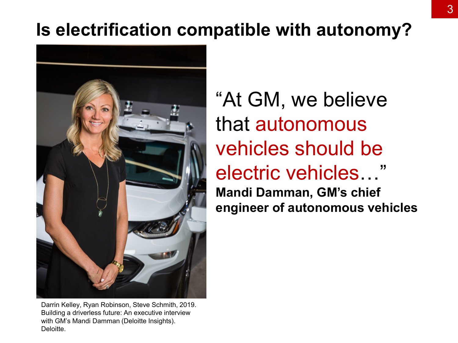# **Is electrification compatible with autonomy?**



Darrin Kelley, Ryan Robinson, Steve Schmith, 2019. Building a driverless future: An executive interview with GM's Mandi Damman (Deloitte Insights). Deloitte.

"At GM, we believe that autonomous vehicles should be electric vehicles…" **Mandi Damman, GM's chief** 

**engineer of autonomous vehicles**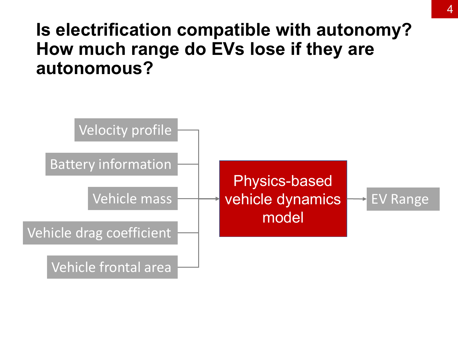## **Is electrification compatible with autonomy? How much range do EVs lose if they are autonomous?**

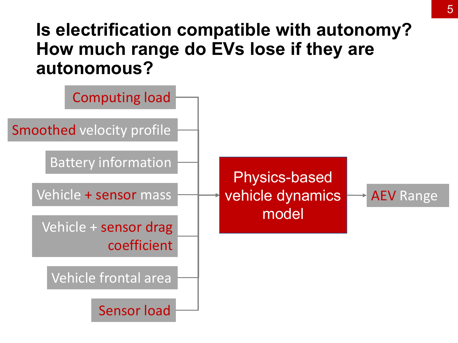## **Is electrification compatible with autonomy? How much range do EVs lose if they are autonomous?**

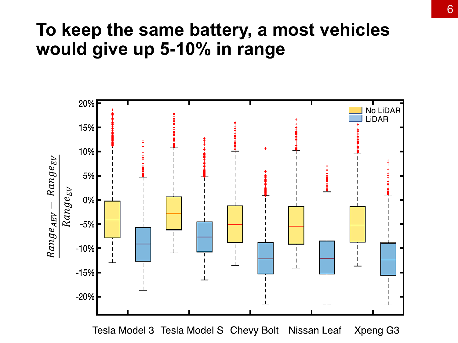#### **To keep the same battery, a most vehicles would give up 5-10% in range**



Tesla Model 3 Tesla Model S Chevy Bolt Nissan Leaf Xpeng G3